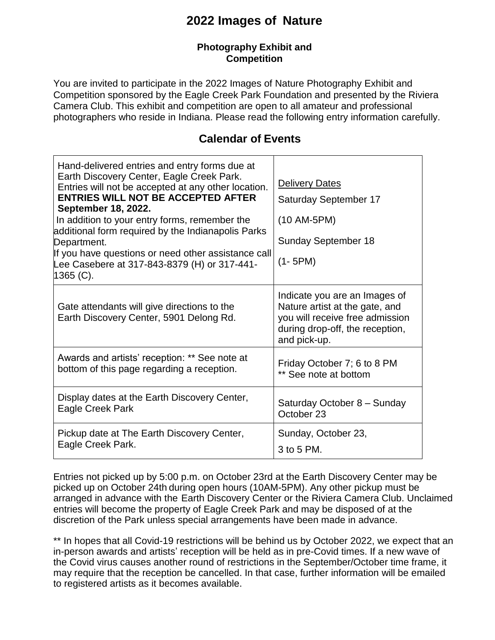## **2022 Images of Nature**

#### **Photography Exhibit and Competition**

You are invited to participate in the 2022 Images of Nature Photography Exhibit and Competition sponsored by the Eagle Creek Park Foundation and presented by the Riviera Camera Club. This exhibit and competition are open to all amateur and professional photographers who reside in Indiana. Please read the following entry information carefully.

### **Calendar of Events**

| Hand-delivered entries and entry forms due at<br>Earth Discovery Center, Eagle Creek Park.<br>Entries will not be accepted at any other location.<br><b>ENTRIES WILL NOT BE ACCEPTED AFTER</b><br>September 18, 2022.<br>In addition to your entry forms, remember the<br>additional form required by the Indianapolis Parks<br>Department.<br>If you have questions or need other assistance call<br>Lee Casebere at 317-843-8379 (H) or 317-441-<br>1365 (C). | <b>Delivery Dates</b><br>Saturday September 17<br>$(10 AM-5PM)$<br><b>Sunday September 18</b><br>$(1 - 5PM)$                                          |
|-----------------------------------------------------------------------------------------------------------------------------------------------------------------------------------------------------------------------------------------------------------------------------------------------------------------------------------------------------------------------------------------------------------------------------------------------------------------|-------------------------------------------------------------------------------------------------------------------------------------------------------|
| Gate attendants will give directions to the<br>Earth Discovery Center, 5901 Delong Rd.                                                                                                                                                                                                                                                                                                                                                                          | Indicate you are an Images of<br>Nature artist at the gate, and<br>you will receive free admission<br>during drop-off, the reception,<br>and pick-up. |
| Awards and artists' reception: ** See note at                                                                                                                                                                                                                                                                                                                                                                                                                   | Friday October 7; 6 to 8 PM                                                                                                                           |
| bottom of this page regarding a reception.                                                                                                                                                                                                                                                                                                                                                                                                                      | ** See note at bottom                                                                                                                                 |
| Display dates at the Earth Discovery Center,                                                                                                                                                                                                                                                                                                                                                                                                                    | Saturday October 8 - Sunday                                                                                                                           |
| Eagle Creek Park                                                                                                                                                                                                                                                                                                                                                                                                                                                | October 23                                                                                                                                            |
| Pickup date at The Earth Discovery Center,                                                                                                                                                                                                                                                                                                                                                                                                                      | Sunday, October 23,                                                                                                                                   |
| Eagle Creek Park.                                                                                                                                                                                                                                                                                                                                                                                                                                               | 3 to 5 PM.                                                                                                                                            |

Entries not picked up by 5:00 p.m. on October 23rd at the Earth Discovery Center may be picked up on October 24th during open hours (10AM-5PM). Any other pickup must be arranged in advance with the Earth Discovery Center or the Riviera Camera Club. Unclaimed entries will become the property of Eagle Creek Park and may be disposed of at the discretion of the Park unless special arrangements have been made in advance.

\*\* In hopes that all Covid-19 restrictions will be behind us by October 2022, we expect that an in-person awards and artists' reception will be held as in pre-Covid times. If a new wave of the Covid virus causes another round of restrictions in the September/October time frame, it may require that the reception be cancelled. In that case, further information will be emailed to registered artists as it becomes available.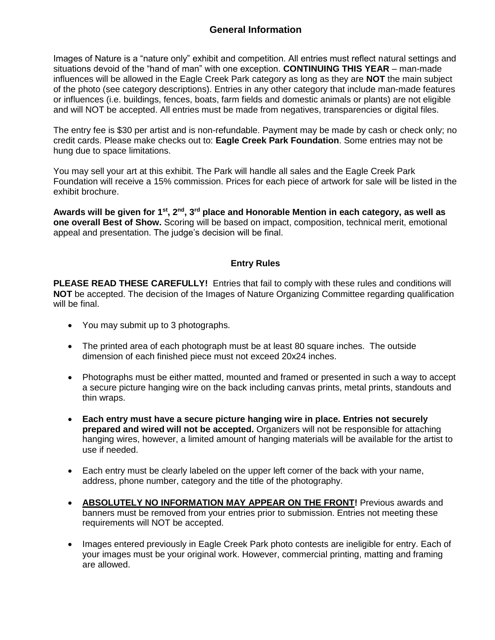Images of Nature is a "nature only" exhibit and competition. All entries must reflect natural settings and situations devoid of the "hand of man" with one exception. **CONTINUING THIS YEAR** – man-made influences will be allowed in the Eagle Creek Park category as long as they are **NOT** the main subject of the photo (see category descriptions). Entries in any other category that include man-made features or influences (i.e. buildings, fences, boats, farm fields and domestic animals or plants) are not eligible and will NOT be accepted. All entries must be made from negatives, transparencies or digital files.

The entry fee is \$30 per artist and is non-refundable. Payment may be made by cash or check only; no credit cards. Please make checks out to: **Eagle Creek Park Foundation**. Some entries may not be hung due to space limitations.

You may sell your art at this exhibit. The Park will handle all sales and the Eagle Creek Park Foundation will receive a 15% commission. Prices for each piece of artwork for sale will be listed in the exhibit brochure.

**Awards will be given for 1st, 2nd, 3rd place and Honorable Mention in each category, as well as one overall Best of Show.** Scoring will be based on impact, composition, technical merit, emotional appeal and presentation. The judge's decision will be final.

#### **Entry Rules**

**PLEASE READ THESE CAREFULLY!** Entries that fail to comply with these rules and conditions will **NOT** be accepted. The decision of the Images of Nature Organizing Committee regarding qualification will be final.

- You may submit up to 3 photographs.
- The printed area of each photograph must be at least 80 square inches. The outside dimension of each finished piece must not exceed 20x24 inches.
- Photographs must be either matted, mounted and framed or presented in such a way to accept a secure picture hanging wire on the back including canvas prints, metal prints, standouts and thin wraps.
- **Each entry must have a secure picture hanging wire in place. Entries not securely prepared and wired will not be accepted.** Organizers will not be responsible for attaching hanging wires, however, a limited amount of hanging materials will be available for the artist to use if needed.
- Each entry must be clearly labeled on the upper left corner of the back with your name, address, phone number, category and the title of the photography.
- **ABSOLUTELY NO INFORMATION MAY APPEAR ON THE FRONT!** Previous awards and banners must be removed from your entries prior to submission. Entries not meeting these requirements will NOT be accepted.
- Images entered previously in Eagle Creek Park photo contests are ineligible for entry. Each of your images must be your original work. However, commercial printing, matting and framing are allowed.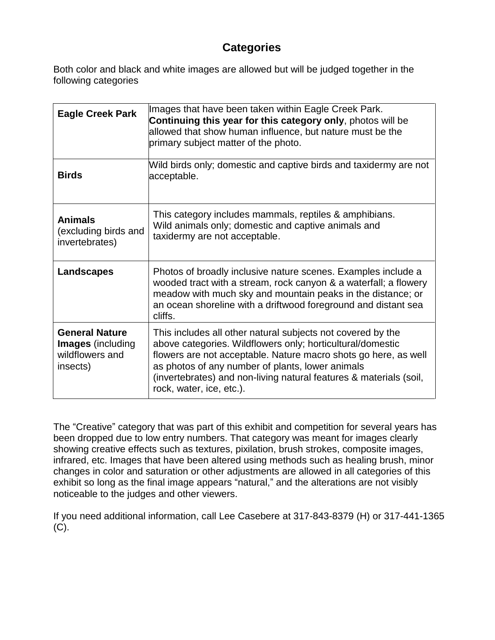## **Categories**

Both color and black and white images are allowed but will be judged together in the following categories

| <b>Eagle Creek Park</b>                                                          | Images that have been taken within Eagle Creek Park.<br>Continuing this year for this category only, photos will be<br>allowed that show human influence, but nature must be the<br>primary subject matter of the photo.                                                                                                                           |
|----------------------------------------------------------------------------------|----------------------------------------------------------------------------------------------------------------------------------------------------------------------------------------------------------------------------------------------------------------------------------------------------------------------------------------------------|
| <b>Birds</b>                                                                     | Wild birds only; domestic and captive birds and taxidermy are not<br>acceptable.                                                                                                                                                                                                                                                                   |
| <b>Animals</b><br>(excluding birds and<br>invertebrates)                         | This category includes mammals, reptiles & amphibians.<br>Wild animals only; domestic and captive animals and<br>taxidermy are not acceptable.                                                                                                                                                                                                     |
| <b>Landscapes</b>                                                                | Photos of broadly inclusive nature scenes. Examples include a<br>wooded tract with a stream, rock canyon & a waterfall; a flowery<br>meadow with much sky and mountain peaks in the distance; or<br>an ocean shoreline with a driftwood foreground and distant sea<br>cliffs.                                                                      |
| <b>General Nature</b><br><b>Images</b> (including<br>wildflowers and<br>insects) | This includes all other natural subjects not covered by the<br>above categories. Wildflowers only; horticultural/domestic<br>flowers are not acceptable. Nature macro shots go here, as well<br>as photos of any number of plants, lower animals<br>(invertebrates) and non-living natural features & materials (soil,<br>rock, water, ice, etc.). |

The "Creative" category that was part of this exhibit and competition for several years has been dropped due to low entry numbers. That category was meant for images clearly showing creative effects such as textures, pixilation, brush strokes, composite images, infrared, etc. Images that have been altered using methods such as healing brush, minor changes in color and saturation or other adjustments are allowed in all categories of this exhibit so long as the final image appears "natural," and the alterations are not visibly noticeable to the judges and other viewers.

If you need additional information, call Lee Casebere at 317-843-8379 (H) or 317-441-1365 (C).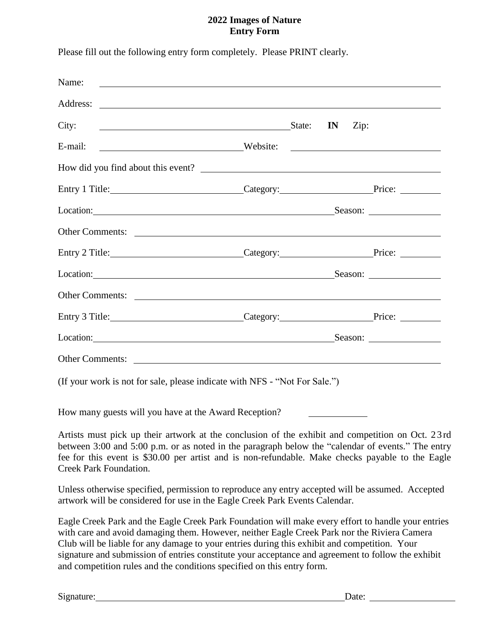#### **2022 Images of Nature Entry Form**

| Name: $\qquad \qquad$                                                                                                                                                                                                                |  |  |         |
|--------------------------------------------------------------------------------------------------------------------------------------------------------------------------------------------------------------------------------------|--|--|---------|
|                                                                                                                                                                                                                                      |  |  |         |
| City: <u>City:</u> State: IN Zip:                                                                                                                                                                                                    |  |  |         |
| E-mail:<br>Website:                                                                                                                                                                                                                  |  |  |         |
| How did you find about this event?                                                                                                                                                                                                   |  |  |         |
| Entry 1 Title: Price: Price: Price: Price: Price: Price: Price: Price: Price: Price: Price: Price: Price: Price: Price: Price: Price: Price: Price: Price: Price: Price: Price: Price: Price: Price: Price: Price: Price: Pric       |  |  |         |
|                                                                                                                                                                                                                                      |  |  | Season: |
|                                                                                                                                                                                                                                      |  |  |         |
| Entry 2 Title: Price: Price: Price: Price: Price: Price: Price: Price: Price: Price: Price: Price: Price: Price: Price: Price: Price: Price: Price: Price: Price: Price: Price: Price: Price: Price: Price: Price: Price: Pric       |  |  |         |
| Location: <u>contract and contract and contract and contract and contract and contract and contract and contract and contract and contract and contract and contract and contract and contract and contract and contract and con</u> |  |  |         |
| Other Comments: <u>International Comments:</u>                                                                                                                                                                                       |  |  |         |
| Entry 3 Title: Price: Price: Price: Price: Price: Price: Price: Price: Price: Price: Price: Price: Price: Price: Price: Price: Price: Price: Price: Price: Price: Price: Price: Price: Price: Price: Price: Price: Price: Pric       |  |  |         |
|                                                                                                                                                                                                                                      |  |  | Season: |
|                                                                                                                                                                                                                                      |  |  |         |

Please fill out the following entry form completely. Please PRINT clearly.

(If your work is not for sale, please indicate with NFS - "Not For Sale.")

How many guests will you have at the Award Reception?

Artists must pick up their artwork at the conclusion of the exhibit and competition on Oct. 23 rd between 3:00 and 5:00 p.m. or as noted in the paragraph below the "calendar of events." The entry fee for this event is \$30.00 per artist and is non-refundable. Make checks payable to the Eagle Creek Park Foundation.

Unless otherwise specified, permission to reproduce any entry accepted will be assumed. Accepted artwork will be considered for use in the Eagle Creek Park Events Calendar.

Eagle Creek Park and the Eagle Creek Park Foundation will make every effort to handle your entries with care and avoid damaging them. However, neither Eagle Creek Park nor the Riviera Camera Club will be liable for any damage to your entries during this exhibit and competition. Your signature and submission of entries constitute your acceptance and agreement to follow the exhibit and competition rules and the conditions specified on this entry form.

Signature: Date: Detection Date: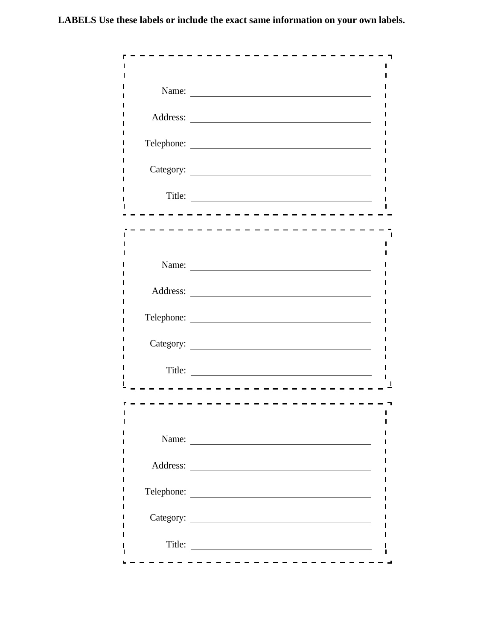**LABELS Use these labels or include the exact same information on your own labels.**

| Name:      |
|------------|
|            |
| Telephone: |
|            |
| Title:     |
|            |
|            |
| Name:      |
|            |
| Telephone: |
|            |
| Title:     |
|            |
| Name:      |
|            |
| Telephone: |
|            |
| Title:     |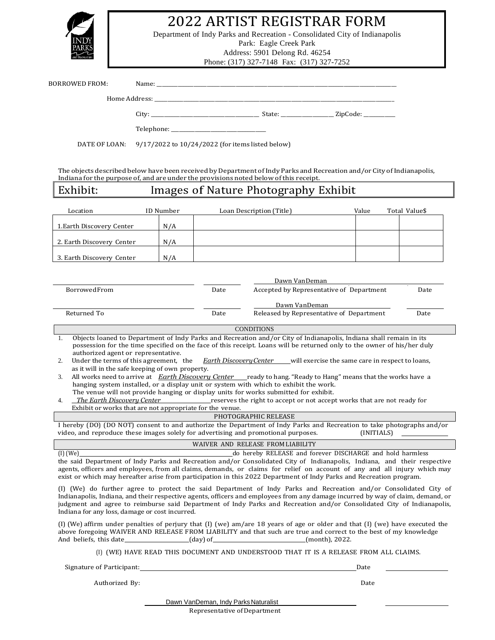

## 2022 ARTIST REGISTRAR FORM

Department of Indy Parks and Recreation - Consolidated City of Indianapolis Park: Eagle Creek Park Address: 5901 Delong Rd. 46254

Phone: (317) 327-7148 Fax: (317) 327-7252

|                                                                                                                                                                                                                                                                                                                                                                                                                                  |                        |     |                                                  |                                                                                                                                                                                                               | $(211)$ $221$ $1222$                                      |            |                                                                                                                       |
|----------------------------------------------------------------------------------------------------------------------------------------------------------------------------------------------------------------------------------------------------------------------------------------------------------------------------------------------------------------------------------------------------------------------------------|------------------------|-----|--------------------------------------------------|---------------------------------------------------------------------------------------------------------------------------------------------------------------------------------------------------------------|-----------------------------------------------------------|------------|-----------------------------------------------------------------------------------------------------------------------|
| BORROWED FROM:                                                                                                                                                                                                                                                                                                                                                                                                                   |                        |     |                                                  |                                                                                                                                                                                                               |                                                           |            |                                                                                                                       |
|                                                                                                                                                                                                                                                                                                                                                                                                                                  |                        |     |                                                  |                                                                                                                                                                                                               |                                                           |            |                                                                                                                       |
|                                                                                                                                                                                                                                                                                                                                                                                                                                  |                        |     |                                                  |                                                                                                                                                                                                               |                                                           |            |                                                                                                                       |
|                                                                                                                                                                                                                                                                                                                                                                                                                                  |                        |     |                                                  |                                                                                                                                                                                                               |                                                           |            |                                                                                                                       |
| DATE OF LOAN:                                                                                                                                                                                                                                                                                                                                                                                                                    |                        |     | 9/17/2022 to 10/24/2022 (for items listed below) |                                                                                                                                                                                                               |                                                           |            |                                                                                                                       |
|                                                                                                                                                                                                                                                                                                                                                                                                                                  |                        |     |                                                  |                                                                                                                                                                                                               |                                                           |            |                                                                                                                       |
| The objects described below have been received by Department of Indy Parks and Recreation and/or City of Indianapolis,<br>Indiana for the purpose of, and are under the provisions noted below of this receipt.                                                                                                                                                                                                                  |                        |     |                                                  |                                                                                                                                                                                                               |                                                           |            |                                                                                                                       |
| Exhibit:                                                                                                                                                                                                                                                                                                                                                                                                                         |                        |     |                                                  | Images of Nature Photography Exhibit                                                                                                                                                                          |                                                           |            |                                                                                                                       |
|                                                                                                                                                                                                                                                                                                                                                                                                                                  |                        |     |                                                  |                                                                                                                                                                                                               |                                                           |            |                                                                                                                       |
| Location                                                                                                                                                                                                                                                                                                                                                                                                                         | ID Number              |     |                                                  | Loan Description (Title)                                                                                                                                                                                      | Value                                                     |            | Total Value\$                                                                                                         |
| 1. Earth Discovery Center                                                                                                                                                                                                                                                                                                                                                                                                        |                        | N/A |                                                  |                                                                                                                                                                                                               |                                                           |            |                                                                                                                       |
| 2. Earth Discovery Center                                                                                                                                                                                                                                                                                                                                                                                                        |                        | N/A |                                                  |                                                                                                                                                                                                               |                                                           |            |                                                                                                                       |
| 3. Earth Discovery Center                                                                                                                                                                                                                                                                                                                                                                                                        |                        | N/A |                                                  |                                                                                                                                                                                                               |                                                           |            |                                                                                                                       |
|                                                                                                                                                                                                                                                                                                                                                                                                                                  |                        |     |                                                  |                                                                                                                                                                                                               |                                                           |            |                                                                                                                       |
| <b>Borrowed From</b>                                                                                                                                                                                                                                                                                                                                                                                                             |                        |     | Date                                             |                                                                                                                                                                                                               | Dawn VanDeman<br>Accepted by Representative of Department |            | Date                                                                                                                  |
|                                                                                                                                                                                                                                                                                                                                                                                                                                  |                        |     |                                                  |                                                                                                                                                                                                               |                                                           |            |                                                                                                                       |
| Returned To                                                                                                                                                                                                                                                                                                                                                                                                                      |                        |     | Date                                             | Dawn VanDeman                                                                                                                                                                                                 | Released by Representative of Department                  |            | Date                                                                                                                  |
|                                                                                                                                                                                                                                                                                                                                                                                                                                  |                        |     |                                                  | <b>CONDITIONS</b>                                                                                                                                                                                             |                                                           |            |                                                                                                                       |
| 1.                                                                                                                                                                                                                                                                                                                                                                                                                               |                        |     |                                                  | Objects loaned to Department of Indy Parks and Recreation and/or City of Indianapolis, Indiana shall remain in its                                                                                            |                                                           |            |                                                                                                                       |
| authorized agent or representative.                                                                                                                                                                                                                                                                                                                                                                                              |                        |     |                                                  | possession for the time specified on the face of this receipt. Loans will be returned only to the owner of his/her duly                                                                                       |                                                           |            |                                                                                                                       |
| Under the terms of this agreement, the<br>2.<br>as it will in the safe keeping of own property.                                                                                                                                                                                                                                                                                                                                  |                        |     |                                                  | <i>Earth Discovery Center</i> will exercise the same care in respect to loans,                                                                                                                                |                                                           |            |                                                                                                                       |
| 3.                                                                                                                                                                                                                                                                                                                                                                                                                               |                        |     |                                                  | All works need to arrive at <i>Earth Discovery Center</i> ready to hang. "Ready to Hang" means that the works have a<br>hanging system installed, or a display unit or system with which to exhibit the work. |                                                           |            |                                                                                                                       |
| The Earth Discovery Center                                                                                                                                                                                                                                                                                                                                                                                                       |                        |     |                                                  | The venue will not provide hanging or display units for works submitted for exhibit.                                                                                                                          |                                                           |            |                                                                                                                       |
| 4.<br>Exhibit or works that are not appropriate for the venue.                                                                                                                                                                                                                                                                                                                                                                   |                        |     |                                                  | reserves the right to accept or not accept works that are not ready for                                                                                                                                       |                                                           |            |                                                                                                                       |
| I hereby (DO) (DO NOT) consent to and authorize the Department of Indy Parks and Recreation to take photographs and/or                                                                                                                                                                                                                                                                                                           |                        |     |                                                  | PHOTOGRAPHIC RELEASE                                                                                                                                                                                          |                                                           |            |                                                                                                                       |
| video, and reproduce these images solely for advertising and promotional purposes.                                                                                                                                                                                                                                                                                                                                               |                        |     |                                                  |                                                                                                                                                                                                               |                                                           | (INITIALS) | <u> 1989 - Jan Alexandro III, populație de la provincia de la provincia de la provincia de la provincia de la pro</u> |
| $(I)$ (We)                                                                                                                                                                                                                                                                                                                                                                                                                       |                        |     |                                                  | WAIVER AND RELEASE FROM LIABILITY<br>do hereby RELEASE and forever DISCHARGE and hold harmless                                                                                                                |                                                           |            |                                                                                                                       |
| the said Department of Indy Parks and Recreation and/or Consolidated City of Indianapolis, Indiana, and their respective<br>agents, officers and employees, from all claims, demands, or claims for relief on account of any and all injury which may<br>exist or which may hereafter arise from participation in this 2022 Department of Indy Parks and Recreation program.                                                     |                        |     |                                                  |                                                                                                                                                                                                               |                                                           |            |                                                                                                                       |
| (I) (We) do further agree to protect the said Department of Indy Parks and Recreation and/or Consolidated City of<br>Indianapolis, Indiana, and their respective agents, officers and employees from any damage incurred by way of claim, demand, or<br>judgment and agree to reimburse said Department of Indy Parks and Recreation and/or Consolidated City of Indianapolis,<br>Indiana for any loss, damage or cost incurred. |                        |     |                                                  |                                                                                                                                                                                                               |                                                           |            |                                                                                                                       |
| (I) (We) affirm under penalties of perjury that (I) (we) am/are 18 years of age or older and that (I) (we) have executed the<br>above foregoing WAIVER AND RELEASE FROM LIABILITY and that such are true and correct to the best of my knowledge<br>And beliefs, this date________________(day) of________________________(month), 2022.                                                                                         |                        |     |                                                  |                                                                                                                                                                                                               |                                                           |            |                                                                                                                       |
|                                                                                                                                                                                                                                                                                                                                                                                                                                  |                        |     |                                                  | (I) (WE) HAVE READ THIS DOCUMENT AND UNDERSTOOD THAT IT IS A RELEASE FROM ALL CLAIMS.                                                                                                                         |                                                           |            |                                                                                                                       |
|                                                                                                                                                                                                                                                                                                                                                                                                                                  |                        |     |                                                  |                                                                                                                                                                                                               | Date                                                      |            |                                                                                                                       |
|                                                                                                                                                                                                                                                                                                                                                                                                                                  | Authorized By:<br>Date |     |                                                  |                                                                                                                                                                                                               |                                                           |            |                                                                                                                       |
|                                                                                                                                                                                                                                                                                                                                                                                                                                  |                        |     |                                                  |                                                                                                                                                                                                               |                                                           |            |                                                                                                                       |